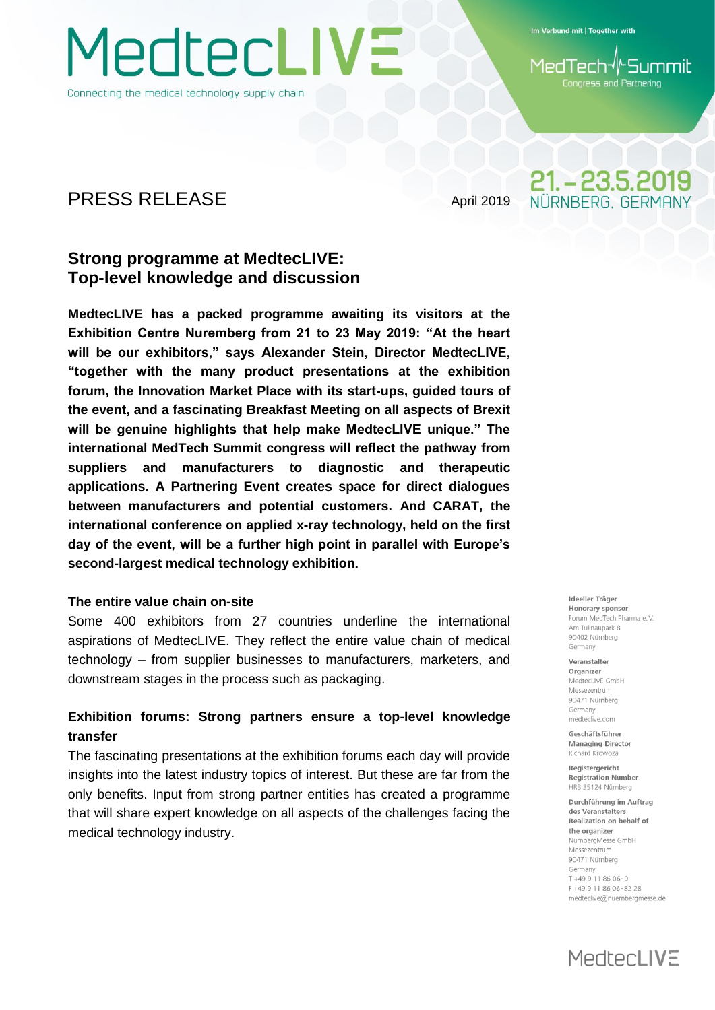MedtecLIVE

Connecting the medical technology supply chain

Im Verbund mit | Together with

**Summil** 1edTech Congress and Partnering

21. - 23.5.2019 NÜRNBERG GERMAN

## PRESS RELEASE April 2019

## **Strong programme at MedtecLIVE: Top-level knowledge and discussion**

**MedtecLIVE has a packed programme awaiting its visitors at the Exhibition Centre Nuremberg from 21 to 23 May 2019: "At the heart will be our exhibitors," says Alexander Stein, Director MedtecLIVE, "together with the many product presentations at the exhibition forum, the Innovation Market Place with its start-ups, guided tours of the event, and a fascinating Breakfast Meeting on all aspects of Brexit will be genuine highlights that help make MedtecLIVE unique." The international MedTech Summit congress will reflect the pathway from suppliers and manufacturers to diagnostic and therapeutic applications. A Partnering Event creates space for direct dialogues between manufacturers and potential customers. And CARAT, the international conference on applied x-ray technology, held on the first day of the event, will be a further high point in parallel with Europe's second-largest medical technology exhibition.**

## **The entire value chain on-site**

Some 400 exhibitors from 27 countries underline the international aspirations of MedtecLIVE. They reflect the entire value chain of medical technology – from supplier businesses to manufacturers, marketers, and downstream stages in the process such as packaging.

## **Exhibition forums: Strong partners ensure a top-level knowledge transfer**

The fascinating presentations at the exhibition forums each day will provide insights into the latest industry topics of interest. But these are far from the only benefits. Input from strong partner entities has created a programme that will share expert knowledge on all aspects of the challenges facing the medical technology industry.

Ideeller Träger Honorary sponsor Forum MedTech Pharma e V Am Tullnaunark 8 90402 Nürnberg Germany

Veranstalter Organizer MedtecLIVE GmbH Messezentrum 90471 Nürnberg Germany medteclive.com

Geschäftsführer **Managing Director** Richard Krowoza

Registergericht **Registration Number** HRB 35124 Nürnberg

Durchführung im Auftrag des Veranstalters Realization on behalf of the organizer NürnbergMesse GmbH Messezentrum 90471 Nürnberg Germany T+49 9 11 86 06-0 F+49 9 11 86 06-82 28 medteclive@nuernbergmesse.de

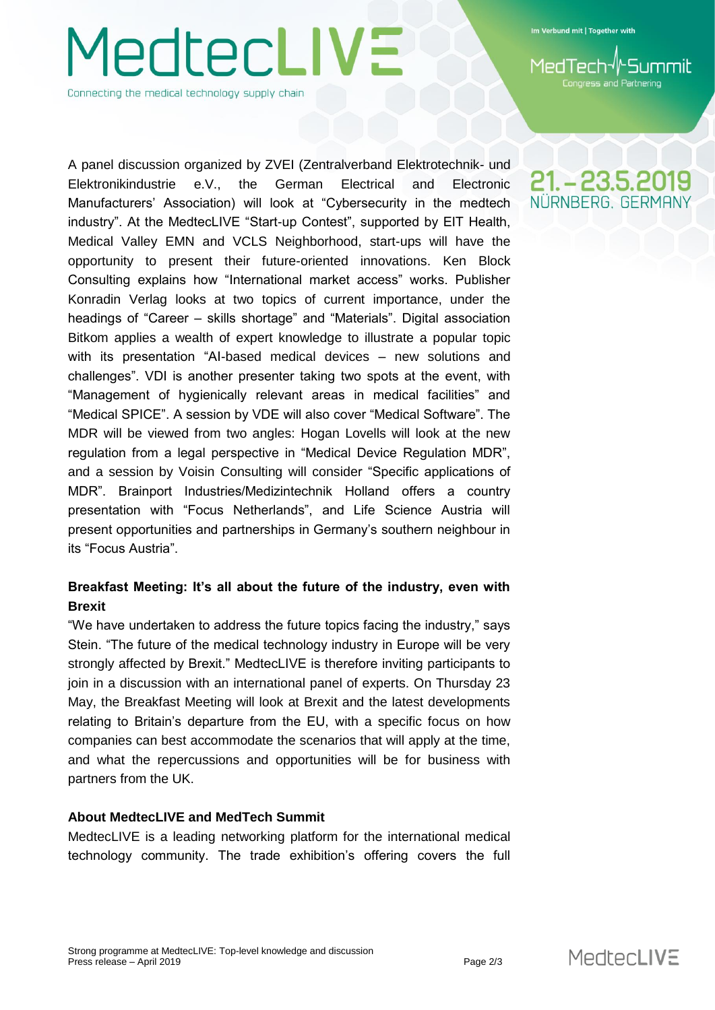Im Verbund mit | Together with

**Congress and Partnering** 

Connecting the medical technology supply chain

**JedtecLIVE** 

A panel discussion organized by ZVEI (Zentralverband Elektrotechnik- und Elektronikindustrie e.V., the German Electrical and Electronic Manufacturers' Association) will look at "Cybersecurity in the medtech industry". At the MedtecLIVE "Start-up Contest", supported by EIT Health, Medical Valley EMN and VCLS Neighborhood, start-ups will have the opportunity to present their future-oriented innovations. Ken Block Consulting explains how "International market access" works. Publisher Konradin Verlag looks at two topics of current importance, under the headings of "Career – skills shortage" and "Materials". Digital association Bitkom applies a wealth of expert knowledge to illustrate a popular topic with its presentation "AI-based medical devices – new solutions and challenges". VDI is another presenter taking two spots at the event, with "Management of hygienically relevant areas in medical facilities" and "Medical SPICE". A session by VDE will also cover "Medical Software". The MDR will be viewed from two angles: Hogan Lovells will look at the new regulation from a legal perspective in "Medical Device Regulation MDR", and a session by Voisin Consulting will consider "Specific applications of MDR". Brainport Industries/Medizintechnik Holland offers a country presentation with "Focus Netherlands", and Life Science Austria will present opportunities and partnerships in Germany's southern neighbour in its "Focus Austria".

## **Breakfast Meeting: It's all about the future of the industry, even with Brexit**

"We have undertaken to address the future topics facing the industry," says Stein. "The future of the medical technology industry in Europe will be very strongly affected by Brexit." MedtecLIVE is therefore inviting participants to join in a discussion with an international panel of experts. On Thursday 23 May, the Breakfast Meeting will look at Brexit and the latest developments relating to Britain's departure from the EU, with a specific focus on how companies can best accommodate the scenarios that will apply at the time, and what the repercussions and opportunities will be for business with partners from the UK.

### **About MedtecLIVE and MedTech Summit**

MedtecLIVE is a leading networking platform for the international medical technology community. The trade exhibition's offering covers the full

21. – 23.5.2019 NÜRNBERG. GERMAN